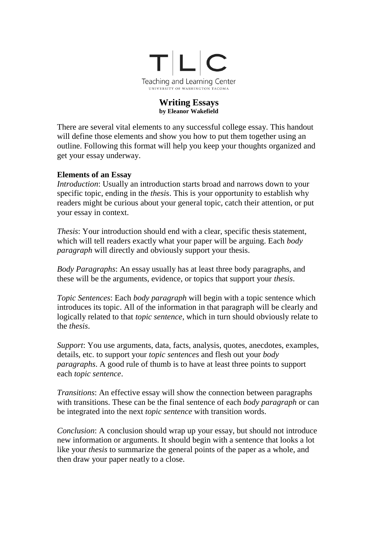

#### **Writing Essays by Eleanor Wakefield**

There are several vital elements to any successful college essay. This handout will define those elements and show you how to put them together using an outline. Following this format will help you keep your thoughts organized and get your essay underway.

### **Elements of an Essay**

*Introduction*: Usually an introduction starts broad and narrows down to your specific topic, ending in the *thesis*. This is your opportunity to establish why readers might be curious about your general topic, catch their attention, or put your essay in context.

*Thesis*: Your introduction should end with a clear, specific thesis statement, which will tell readers exactly what your paper will be arguing. Each *body paragraph* will directly and obviously support your thesis.

*Body Paragraphs*: An essay usually has at least three body paragraphs, and these will be the arguments, evidence, or topics that support your *thesis*.

*Topic Sentences*: Each *body paragraph* will begin with a topic sentence which introduces its topic. All of the information in that paragraph will be clearly and logically related to that *topic sentence*, which in turn should obviously relate to the *thesis*.

*Support*: You use arguments, data, facts, analysis, quotes, anecdotes, examples, details, etc. to support your *topic sentences* and flesh out your *body paragraphs*. A good rule of thumb is to have at least three points to support each *topic sentence*.

*Transitions*: An effective essay will show the connection between paragraphs with transitions. These can be the final sentence of each *body paragraph* or can be integrated into the next *topic sentence* with transition words.

*Conclusion*: A conclusion should wrap up your essay, but should not introduce new information or arguments. It should begin with a sentence that looks a lot like your *thesis* to summarize the general points of the paper as a whole, and then draw your paper neatly to a close.